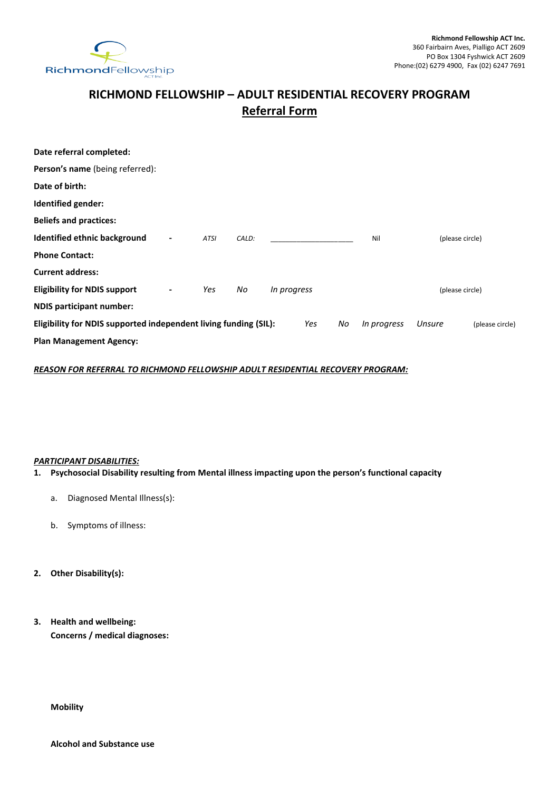

# **RICHMOND FELLOWSHIP – ADULT RESIDENTIAL RECOVERY PROGRAM Referral Form**

| Date referral completed:                                                      |                          |             |       |             |  |                 |                 |                 |
|-------------------------------------------------------------------------------|--------------------------|-------------|-------|-------------|--|-----------------|-----------------|-----------------|
| <b>Person's name</b> (being referred):                                        |                          |             |       |             |  |                 |                 |                 |
| Date of birth:                                                                |                          |             |       |             |  |                 |                 |                 |
| Identified gender:                                                            |                          |             |       |             |  |                 |                 |                 |
| <b>Beliefs and practices:</b>                                                 |                          |             |       |             |  |                 |                 |                 |
| Identified ethnic background                                                  | $\overline{\phantom{0}}$ | <b>ATSI</b> | CALD: |             |  | Nil             | (please circle) |                 |
| <b>Phone Contact:</b>                                                         |                          |             |       |             |  |                 |                 |                 |
| <b>Current address:</b>                                                       |                          |             |       |             |  |                 |                 |                 |
| <b>Eligibility for NDIS support</b>                                           | $\blacksquare$           | Yes         | No    | In progress |  | (please circle) |                 |                 |
| <b>NDIS participant number:</b>                                               |                          |             |       |             |  |                 |                 |                 |
| Eligibility for NDIS supported independent living funding (SIL):<br>Yes<br>No |                          |             |       |             |  | In progress     | Unsure          | (please circle) |
| <b>Plan Management Agency:</b>                                                |                          |             |       |             |  |                 |                 |                 |

*REASON FOR REFERRAL TO RICHMOND FELLOWSHIP ADULT RESIDENTIAL RECOVERY PROGRAM:*

# *PARTICIPANT DISABILITIES:*

- **1. Psychosocial Disability resulting from Mental illness impacting upon the person's functional capacity**
	- a. Diagnosed Mental Illness(s):
	- b. Symptoms of illness:
- **2. Other Disability(s):**

# **3. Health and wellbeing: Concerns / medical diagnoses:**

**Mobility**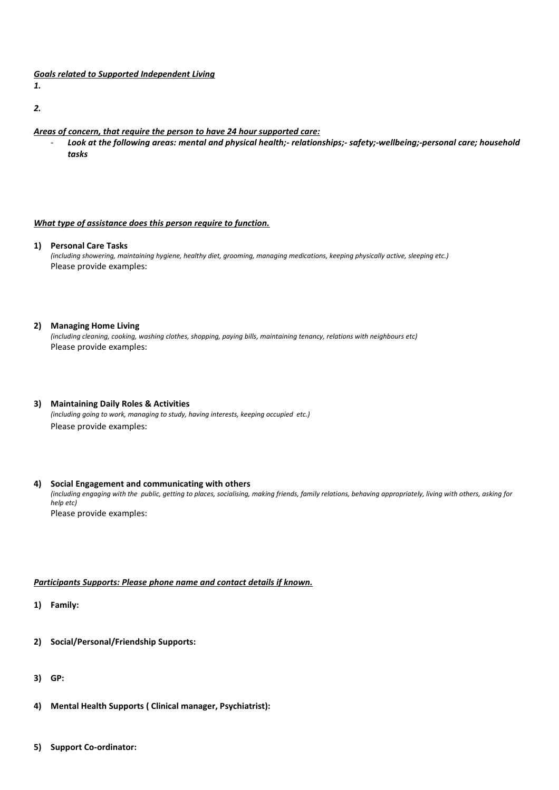## *Goals related to Supported Independent Living*

*1.*

*2.*

- *Areas of concern, that require the person to have 24 hour supported care:*
	- *Look at the following areas: mental and physical health;- relationships;- safety;-wellbeing;-personal care; household tasks*

#### *What type of assistance does this person require to function.*

**1) Personal Care Tasks**

*(including showering, maintaining hygiene, healthy diet, grooming, managing medications, keeping physically active, sleeping etc.)*  Please provide examples:

#### **2) Managing Home Living**

*(including cleaning, cooking, washing clothes, shopping, paying bills, maintaining tenancy, relations with neighbours etc)*  Please provide examples:

**3) Maintaining Daily Roles & Activities** *(including going to work, managing to study, having interests, keeping occupied etc.)*

Please provide examples:

#### **4) Social Engagement and communicating with others**

*(including engaging with the public, getting to places, socialising, making friends, family relations, behaving appropriately, living with others, asking for help etc)* Please provide examples:

## *Participants Supports: Please phone name and contact details if known.*

**1) Family:**

- **2) Social/Personal/Friendship Supports:**
- **3) GP:**
- **4) Mental Health Supports ( Clinical manager, Psychiatrist):**
- **5) Support Co-ordinator:**